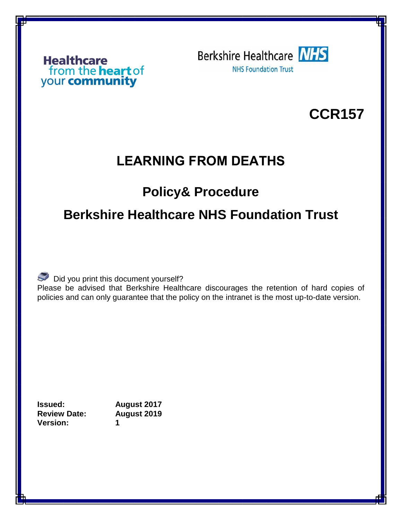## from the **heart** of<br>your **community**

**Berkshire Healthcare NHS NHS Foundation Trust** 

## **CCR157**

## **LEARNING FROM DEATHS**

## **Policy& Procedure**

## **Berkshire Healthcare NHS Foundation Trust**

 $\mathbb S$  Did you print this document yourself?

Please be advised that Berkshire Healthcare discourages the retention of hard copies of policies and can only guarantee that the policy on the intranet is the most up-to-date version.

**Issued: August 2017 Review Date: August 2019 Version: 1**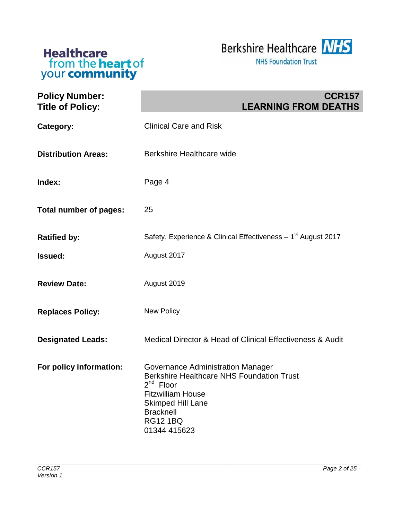



| <b>Policy Number:</b><br><b>Title of Policy:</b> | <b>CCR157</b><br><b>LEARNING FROM DEATHS</b>                                                                                                                                                                           |
|--------------------------------------------------|------------------------------------------------------------------------------------------------------------------------------------------------------------------------------------------------------------------------|
| Category:                                        | <b>Clinical Care and Risk</b>                                                                                                                                                                                          |
| <b>Distribution Areas:</b>                       | Berkshire Healthcare wide                                                                                                                                                                                              |
| Index:                                           | Page 4                                                                                                                                                                                                                 |
| <b>Total number of pages:</b>                    | 25                                                                                                                                                                                                                     |
| <b>Ratified by:</b>                              | Safety, Experience & Clinical Effectiveness - 1 <sup>st</sup> August 2017                                                                                                                                              |
| <b>Issued:</b>                                   | August 2017                                                                                                                                                                                                            |
| <b>Review Date:</b>                              | August 2019                                                                                                                                                                                                            |
| <b>Replaces Policy:</b>                          | New Policy                                                                                                                                                                                                             |
| <b>Designated Leads:</b>                         | Medical Director & Head of Clinical Effectiveness & Audit                                                                                                                                                              |
| For policy information:                          | Governance Administration Manager<br><b>Berkshire Healthcare NHS Foundation Trust</b><br>$2^{nd}$ Floor<br><b>Fitzwilliam House</b><br><b>Skimped Hill Lane</b><br><b>Bracknell</b><br><b>RG12 1BQ</b><br>01344 415623 |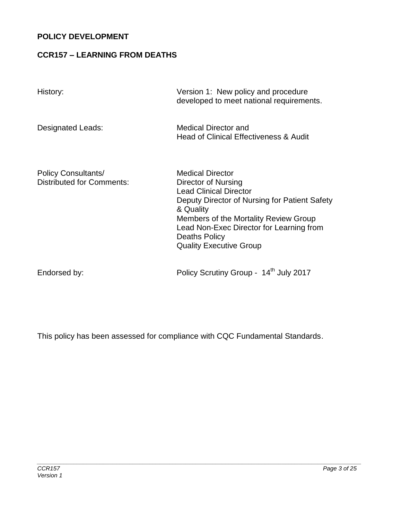#### **POLICY DEVELOPMENT**

#### **CCR157 – LEARNING FROM DEATHS**

| History:                                                       | Version 1: New policy and procedure<br>developed to meet national requirements.                                                                                                                                                                                                              |
|----------------------------------------------------------------|----------------------------------------------------------------------------------------------------------------------------------------------------------------------------------------------------------------------------------------------------------------------------------------------|
| Designated Leads:                                              | Medical Director and<br><b>Head of Clinical Effectiveness &amp; Audit</b>                                                                                                                                                                                                                    |
| <b>Policy Consultants/</b><br><b>Distributed for Comments:</b> | <b>Medical Director</b><br>Director of Nursing<br><b>Lead Clinical Director</b><br>Deputy Director of Nursing for Patient Safety<br>& Quality<br>Members of the Mortality Review Group<br>Lead Non-Exec Director for Learning from<br><b>Deaths Policy</b><br><b>Quality Executive Group</b> |

Endorsed by: <br>
Policy Scrutiny Group - 14<sup>th</sup> July 2017

This policy has been assessed for compliance with CQC Fundamental Standards.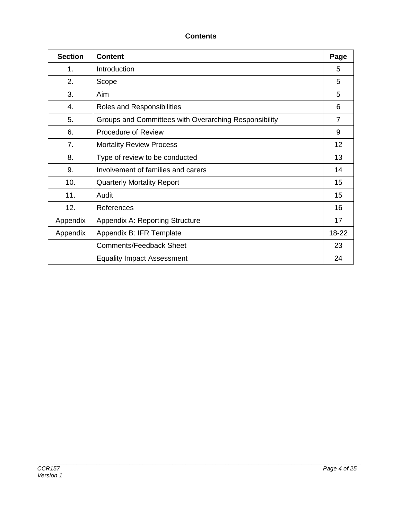#### **Contents**

| <b>Section</b> | <b>Content</b>                                        | Page  |
|----------------|-------------------------------------------------------|-------|
| 1.             | Introduction                                          | 5     |
| 2.             | Scope                                                 | 5     |
| 3.             | Aim                                                   | 5     |
| 4.             | Roles and Responsibilities                            | 6     |
| 5.             | Groups and Committees with Overarching Responsibility | 7     |
| 6.             | <b>Procedure of Review</b>                            | 9     |
| 7.             | <b>Mortality Review Process</b>                       | 12    |
| 8.             | Type of review to be conducted                        | 13    |
| 9.             | Involvement of families and carers                    |       |
| 10.            | <b>Quarterly Mortality Report</b>                     | 15    |
| 11.            | Audit                                                 | 15    |
| 12.            | References                                            | 16    |
| Appendix       | <b>Appendix A: Reporting Structure</b>                | 17    |
| Appendix       | Appendix B: IFR Template                              | 18-22 |
|                | <b>Comments/Feedback Sheet</b>                        | 23    |
|                | <b>Equality Impact Assessment</b>                     | 24    |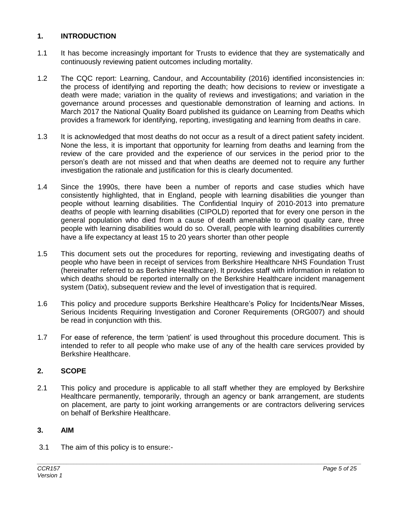#### **1. INTRODUCTION**

- 1.1 It has become increasingly important for Trusts to evidence that they are systematically and continuously reviewing patient outcomes including mortality.
- 1.2 The CQC report: Learning, Candour, and Accountability (2016) identified inconsistencies in: the process of identifying and reporting the death; how decisions to review or investigate a death were made; variation in the quality of reviews and investigations; and variation in the governance around processes and questionable demonstration of learning and actions. In March 2017 the National Quality Board published its guidance on Learning from Deaths which provides a framework for identifying, reporting, investigating and learning from deaths in care.
- 1.3 It is acknowledged that most deaths do not occur as a result of a direct patient safety incident. None the less, it is important that opportunity for learning from deaths and learning from the review of the care provided and the experience of our services in the period prior to the person's death are not missed and that when deaths are deemed not to require any further investigation the rationale and justification for this is clearly documented.
- 1.4 Since the 1990s, there have been a number of reports and case studies which have consistently highlighted, that in England, people with learning disabilities die younger than people without learning disabilities. The Confidential Inquiry of 2010-2013 into premature deaths of people with learning disabilities (CIPOLD) reported that for every one person in the general population who died from a cause of death amenable to good quality care, three people with learning disabilities would do so. Overall, people with learning disabilities currently have a life expectancy at least 15 to 20 years shorter than other people
- 1.5 This document sets out the procedures for reporting, reviewing and investigating deaths of people who have been in receipt of services from Berkshire Healthcare NHS Foundation Trust (hereinafter referred to as Berkshire Healthcare). It provides staff with information in relation to which deaths should be reported internally on the Berkshire Healthcare incident management system (Datix), subsequent review and the level of investigation that is required.
- 1.6 This policy and procedure supports Berkshire Healthcare's Policy for Incidents/Near Misses, Serious Incidents Requiring Investigation and Coroner Requirements (ORG007) and should be read in conjunction with this.
- 1.7 For ease of reference, the term 'patient' is used throughout this procedure document. This is intended to refer to all people who make use of any of the health care services provided by Berkshire Healthcare.

#### **2. SCOPE**

2.1 This policy and procedure is applicable to all staff whether they are employed by Berkshire Healthcare permanently, temporarily, through an agency or bank arrangement, are students on placement, are party to joint working arrangements or are contractors delivering services on behalf of Berkshire Healthcare.

*\_\_\_\_\_\_\_\_\_\_\_\_\_\_\_\_\_\_\_\_\_\_\_\_\_\_\_\_\_\_\_\_\_\_\_\_\_\_\_\_\_\_\_\_\_\_\_\_\_\_\_\_\_\_\_\_\_\_\_\_\_\_\_\_\_\_\_\_\_\_\_\_\_\_\_\_\_\_\_\_\_\_\_\_\_\_\_\_\_\_\_\_\_\_\_\_\_\_*

#### **3. AIM**

3.1 The aim of this policy is to ensure:-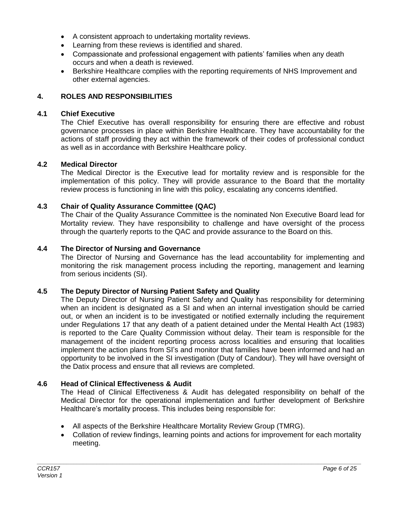- A consistent approach to undertaking mortality reviews.
- Learning from these reviews is identified and shared.
- Compassionate and professional engagement with patients' families when any death occurs and when a death is reviewed.
- Berkshire Healthcare complies with the reporting requirements of NHS Improvement and other external agencies.

#### **4. ROLES AND RESPONSIBILITIES**

#### **4.1 Chief Executive**

The Chief Executive has overall responsibility for ensuring there are effective and robust governance processes in place within Berkshire Healthcare. They have accountability for the actions of staff providing they act within the framework of their codes of professional conduct as well as in accordance with Berkshire Healthcare policy.

#### **4.2 Medical Director**

The Medical Director is the Executive lead for mortality review and is responsible for the implementation of this policy. They will provide assurance to the Board that the mortality review process is functioning in line with this policy, escalating any concerns identified.

#### **4.3 Chair of Quality Assurance Committee (QAC)**

The Chair of the Quality Assurance Committee is the nominated Non Executive Board lead for Mortality review. They have responsibility to challenge and have oversight of the process through the quarterly reports to the QAC and provide assurance to the Board on this.

#### **4.4 The Director of Nursing and Governance**

The Director of Nursing and Governance has the lead accountability for implementing and monitoring the risk management process including the reporting, management and learning from serious incidents (SI).

#### **4.5 The Deputy Director of Nursing Patient Safety and Quality**

The Deputy Director of Nursing Patient Safety and Quality has responsibility for determining when an incident is designated as a SI and when an internal investigation should be carried out, or when an incident is to be investigated or notified externally including the requirement under Regulations 17 that any death of a patient detained under the Mental Health Act (1983) is reported to the Care Quality Commission without delay. Their team is responsible for the management of the incident reporting process across localities and ensuring that localities implement the action plans from SI's and monitor that families have been informed and had an opportunity to be involved in the SI investigation (Duty of Candour). They will have oversight of the Datix process and ensure that all reviews are completed.

#### **4.6 Head of Clinical Effectiveness & Audit**

The Head of Clinical Effectiveness & Audit has delegated responsibility on behalf of the Medical Director for the operational implementation and further development of Berkshire Healthcare's mortality process. This includes being responsible for:

- All aspects of the Berkshire Healthcare Mortality Review Group (TMRG).
- Collation of review findings, learning points and actions for improvement for each mortality meeting.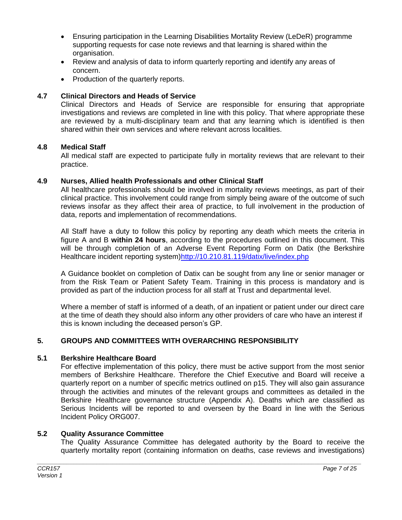- Ensuring participation in the Learning Disabilities Mortality Review (LeDeR) programme supporting requests for case note reviews and that learning is shared within the organisation.
- Review and analysis of data to inform quarterly reporting and identify any areas of concern.
- Production of the quarterly reports.

#### **4.7 Clinical Directors and Heads of Service**

Clinical Directors and Heads of Service are responsible for ensuring that appropriate investigations and reviews are completed in line with this policy. That where appropriate these are reviewed by a multi-disciplinary team and that any learning which is identified is then shared within their own services and where relevant across localities.

#### **4.8 Medical Staff**

All medical staff are expected to participate fully in mortality reviews that are relevant to their practice.

#### **4.9 Nurses, Allied health Professionals and other Clinical Staff**

All healthcare professionals should be involved in mortality reviews meetings, as part of their clinical practice. This involvement could range from simply being aware of the outcome of such reviews insofar as they affect their area of practice, to full involvement in the production of data, reports and implementation of recommendations.

All Staff have a duty to follow this policy by reporting any death which meets the criteria in figure A and B **within 24 hours**, according to the procedures outlined in this document. This will be through completion of an Adverse Event Reporting Form on Datix (the Berkshire Healthcare incident reporting system[\)http://10.210.81.119/datix/live/index.php](http://10.210.81.119/datix/live/index.php)

A Guidance booklet on completion of Datix can be sought from any line or senior manager or from the Risk Team or Patient Safety Team. Training in this process is mandatory and is provided as part of the induction process for all staff at Trust and departmental level.

Where a member of staff is informed of a death, of an inpatient or patient under our direct care at the time of death they should also inform any other providers of care who have an interest if this is known including the deceased person's GP.

#### **5. GROUPS AND COMMITTEES WITH OVERARCHING RESPONSIBILITY**

#### **5.1 Berkshire Healthcare Board**

For effective implementation of this policy, there must be active support from the most senior members of Berkshire Healthcare. Therefore the Chief Executive and Board will receive a quarterly report on a number of specific metrics outlined on p15. They will also gain assurance through the activities and minutes of the relevant groups and committees as detailed in the Berkshire Healthcare governance structure (Appendix A). Deaths which are classified as Serious Incidents will be reported to and overseen by the Board in line with the Serious Incident Policy ORG007.

#### **5.2 Quality Assurance Committee**

The Quality Assurance Committee has delegated authority by the Board to receive the quarterly mortality report (containing information on deaths, case reviews and investigations)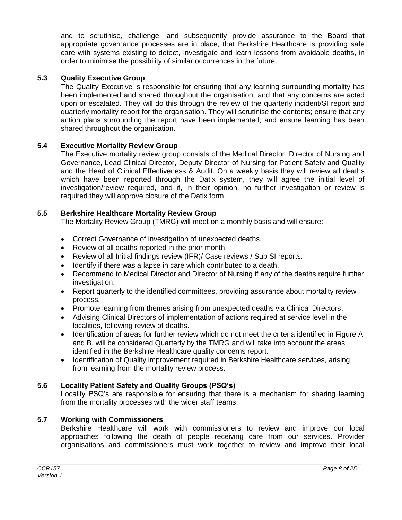and to scrutinise, challenge, and subsequently provide assurance to the Board that appropriate governance processes are in place, that Berkshire Healthcare is providing safe care with systems existing to detect, investigate and learn lessons from avoidable deaths, in order to minimise the possibility of similar occurrences in the future.

#### **5.3 Quality Executive Group**

The Quality Executive is responsible for ensuring that any learning surrounding mortality has been implemented and shared throughout the organisation, and that any concerns are acted upon or escalated. They will do this through the review of the quarterly incident/SI report and quarterly mortality report for the organisation. They will scrutinise the contents; ensure that any action plans surrounding the report have been implemented; and ensure learning has been shared throughout the organisation.

#### **5.4 Executive Mortality Review Group**

The Executive mortality review group consists of the Medical Director, Director of Nursing and Governance, Lead Clinical Director, Deputy Director of Nursing for Patient Safety and Quality and the Head of Clinical Effectiveness & Audit. On a weekly basis they will review all deaths which have been reported through the Datix system, they will agree the initial level of investigation/review required, and if, in their opinion, no further investigation or review is required they will approve closure of the Datix form.

#### **5.5 Berkshire Healthcare Mortality Review Group**

The Mortality Review Group (TMRG) will meet on a monthly basis and will ensure:

- Correct Governance of investigation of unexpected deaths.
- Review of all deaths reported in the prior month.
- Review of all Initial findings review (IFR)/ Case reviews / Sub SI reports.
- Identify if there was a lapse in care which contributed to a death.
- Recommend to Medical Director and Director of Nursing if any of the deaths require further investigation.
- Report quarterly to the identified committees, providing assurance about mortality review process.
- Promote learning from themes arising from unexpected deaths via Clinical Directors.
- Advising Clinical Directors of implementation of actions required at service level in the localities, following review of deaths.
- Identification of areas for further review which do not meet the criteria identified in Figure A and B, will be considered Quarterly by the TMRG and will take into account the areas identified in the Berkshire Healthcare quality concerns report.
- Identification of Quality improvement required in Berkshire Healthcare services, arising from learning from the mortality review process.

#### **5.6 Locality Patient Safety and Quality Groups (PSQ's)**

Locality PSQ's are responsible for ensuring that there is a mechanism for sharing learning from the mortality processes with the wider staff teams.

#### **5.7 Working with Commissioners**

Berkshire Healthcare will work with commissioners to review and improve our local approaches following the death of people receiving care from our services. Provider organisations and commissioners must work together to review and improve their local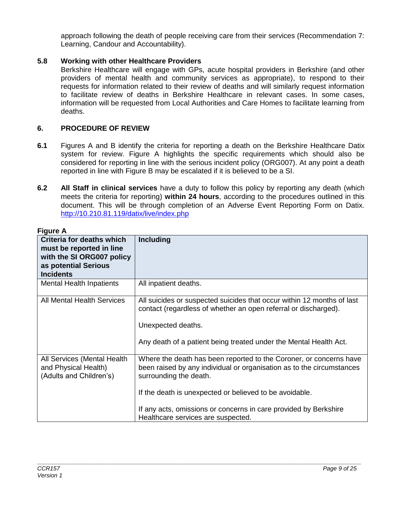approach following the death of people receiving care from their services (Recommendation 7: Learning, Candour and Accountability).

#### **5.8 Working with other Healthcare Providers**

Berkshire Healthcare will engage with GPs, acute hospital providers in Berkshire (and other providers of mental health and community services as appropriate), to respond to their requests for information related to their review of deaths and will similarly request information to facilitate review of deaths in Berkshire Healthcare in relevant cases. In some cases, information will be requested from Local Authorities and Care Homes to facilitate learning from deaths.

#### **6. PROCEDURE OF REVIEW**

- **6.1** Figures A and B identify the criteria for reporting a death on the Berkshire Healthcare Datix system for review. Figure A highlights the specific requirements which should also be considered for reporting in line with the serious incident policy (ORG007). At any point a death reported in line with Figure B may be escalated if it is believed to be a SI.
- **6.2 All Staff in clinical services** have a duty to follow this policy by reporting any death (which meets the criteria for reporting) **within 24 hours**, according to the procedures outlined in this document. This will be through completion of an Adverse Event Reporting Form on Datix. <http://10.210.81.119/datix/live/index.php>

| пучных                                                                                                                         |                                                                                                                                                                                                                                                                                                                                            |
|--------------------------------------------------------------------------------------------------------------------------------|--------------------------------------------------------------------------------------------------------------------------------------------------------------------------------------------------------------------------------------------------------------------------------------------------------------------------------------------|
| Criteria for deaths which<br>must be reported in line<br>with the SI ORG007 policy<br>as potential Serious<br><b>Incidents</b> | <b>Including</b>                                                                                                                                                                                                                                                                                                                           |
| Mental Health Inpatients                                                                                                       | All inpatient deaths.                                                                                                                                                                                                                                                                                                                      |
| <b>All Mental Health Services</b>                                                                                              | All suicides or suspected suicides that occur within 12 months of last<br>contact (regardless of whether an open referral or discharged).<br>Unexpected deaths.<br>Any death of a patient being treated under the Mental Health Act.                                                                                                       |
| All Services (Mental Health<br>and Physical Health)<br>(Adults and Children's)                                                 | Where the death has been reported to the Coroner, or concerns have<br>been raised by any individual or organisation as to the circumstances<br>surrounding the death.<br>If the death is unexpected or believed to be avoidable.<br>If any acts, omissions or concerns in care provided by Berkshire<br>Healthcare services are suspected. |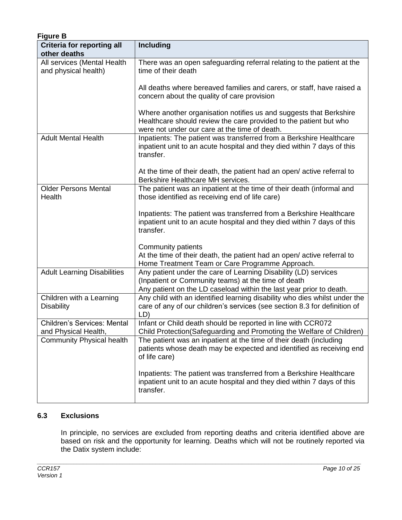| <b>Figure B</b>                                            |                                                                                                                                                                                               |
|------------------------------------------------------------|-----------------------------------------------------------------------------------------------------------------------------------------------------------------------------------------------|
| <b>Criteria for reporting all</b>                          | Including                                                                                                                                                                                     |
| other deaths                                               |                                                                                                                                                                                               |
| All services (Mental Health<br>and physical health)        | There was an open safeguarding referral relating to the patient at the<br>time of their death                                                                                                 |
|                                                            | All deaths where bereaved families and carers, or staff, have raised a<br>concern about the quality of care provision                                                                         |
|                                                            | Where another organisation notifies us and suggests that Berkshire<br>Healthcare should review the care provided to the patient but who<br>were not under our care at the time of death.      |
| <b>Adult Mental Health</b>                                 | Inpatients: The patient was transferred from a Berkshire Healthcare<br>inpatient unit to an acute hospital and they died within 7 days of this<br>transfer.                                   |
|                                                            | At the time of their death, the patient had an open/active referral to<br>Berkshire Healthcare MH services.                                                                                   |
| <b>Older Persons Mental</b><br>Health                      | The patient was an inpatient at the time of their death (informal and<br>those identified as receiving end of life care)                                                                      |
|                                                            | Inpatients: The patient was transferred from a Berkshire Healthcare<br>inpatient unit to an acute hospital and they died within 7 days of this<br>transfer.                                   |
|                                                            | Community patients                                                                                                                                                                            |
|                                                            | At the time of their death, the patient had an open/active referral to<br>Home Treatment Team or Care Programme Approach.                                                                     |
| <b>Adult Learning Disabilities</b>                         | Any patient under the care of Learning Disability (LD) services<br>(Inpatient or Community teams) at the time of death<br>Any patient on the LD caseload within the last year prior to death. |
| Children with a Learning<br><b>Disability</b>              | Any child with an identified learning disability who dies whilst under the<br>care of any of our children's services (see section 8.3 for definition of<br>LD)                                |
| <b>Children's Services: Mental</b><br>and Physical Health, | Infant or Child death should be reported in line with CCR072<br>Child Protection(Safeguarding and Promoting the Welfare of Children)                                                          |
| <b>Community Physical health</b>                           | The patient was an inpatient at the time of their death (including<br>patients whose death may be expected and identified as receiving end<br>of life care)                                   |
|                                                            | Inpatients: The patient was transferred from a Berkshire Healthcare<br>inpatient unit to an acute hospital and they died within 7 days of this<br>transfer.                                   |

#### **6.3 Exclusions**

In principle, no services are excluded from reporting deaths and criteria identified above are based on risk and the opportunity for learning. Deaths which will not be routinely reported via the Datix system include: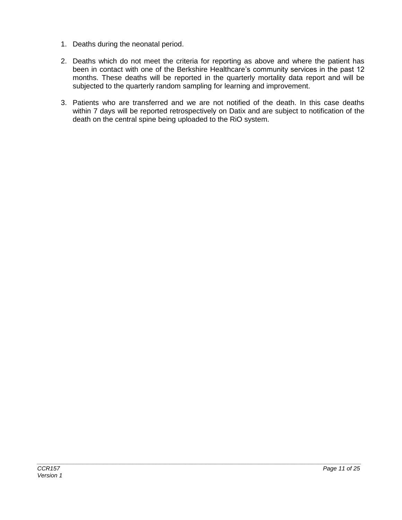- 1. Deaths during the neonatal period.
- 2. Deaths which do not meet the criteria for reporting as above and where the patient has been in contact with one of the Berkshire Healthcare's community services in the past 12 months. These deaths will be reported in the quarterly mortality data report and will be subjected to the quarterly random sampling for learning and improvement.
- 3. Patients who are transferred and we are not notified of the death. In this case deaths within 7 days will be reported retrospectively on Datix and are subject to notification of the death on the central spine being uploaded to the RiO system.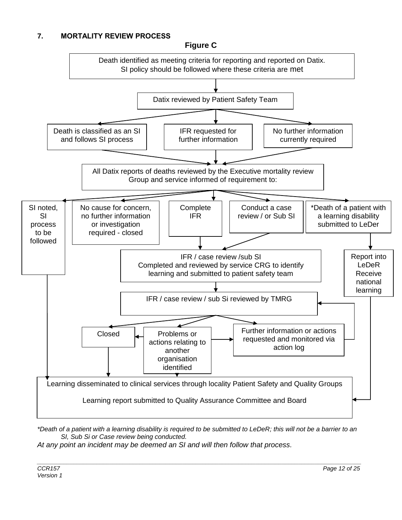#### **7. MORTALITY REVIEW PROCESS**

**Figure C**



*\*Death of a patient with a learning disability is required to be submitted to LeDeR; this will not be a barrier to an SI, Sub Si or Case review being conducted.*

*\_\_\_\_\_\_\_\_\_\_\_\_\_\_\_\_\_\_\_\_\_\_\_\_\_\_\_\_\_\_\_\_\_\_\_\_\_\_\_\_\_\_\_\_\_\_\_\_\_\_\_\_\_\_\_\_\_\_\_\_\_\_\_\_\_\_\_\_\_\_\_\_\_\_\_\_\_\_\_\_\_\_\_\_\_\_\_\_\_\_\_\_\_\_\_\_\_\_*

*At any point an incident may be deemed an SI and will then follow that process.*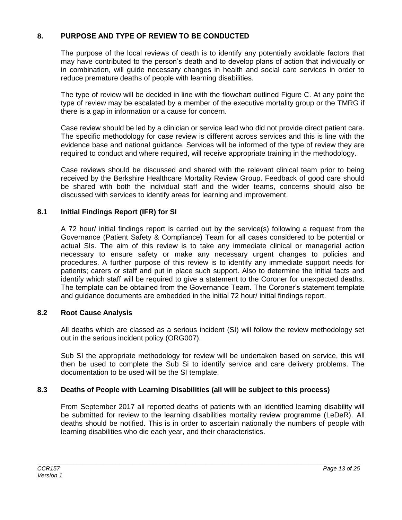#### **8. PURPOSE AND TYPE OF REVIEW TO BE CONDUCTED**

The purpose of the local reviews of death is to identify any potentially avoidable factors that may have contributed to the person's death and to develop plans of action that individually or in combination, will guide necessary changes in health and social care services in order to reduce premature deaths of people with learning disabilities.

The type of review will be decided in line with the flowchart outlined Figure C. At any point the type of review may be escalated by a member of the executive mortality group or the TMRG if there is a gap in information or a cause for concern.

Case review should be led by a clinician or service lead who did not provide direct patient care. The specific methodology for case review is different across services and this is line with the evidence base and national guidance. Services will be informed of the type of review they are required to conduct and where required, will receive appropriate training in the methodology.

Case reviews should be discussed and shared with the relevant clinical team prior to being received by the Berkshire Healthcare Mortality Review Group. Feedback of good care should be shared with both the individual staff and the wider teams, concerns should also be discussed with services to identify areas for learning and improvement.

#### **8.1 Initial Findings Report (IFR) for SI**

A 72 hour/ initial findings report is carried out by the service(s) following a request from the Governance (Patient Safety & Compliance) Team for all cases considered to be potential or actual SIs. The aim of this review is to take any immediate clinical or managerial action necessary to ensure safety or make any necessary urgent changes to policies and procedures. A further purpose of this review is to identify any immediate support needs for patients; carers or staff and put in place such support. Also to determine the initial facts and identify which staff will be required to give a statement to the Coroner for unexpected deaths. The template can be obtained from the Governance Team. The Coroner's statement template and guidance documents are embedded in the initial 72 hour/ initial findings report.

#### **8.2 Root Cause Analysis**

All deaths which are classed as a serious incident (SI) will follow the review methodology set out in the serious incident policy (ORG007).

Sub SI the appropriate methodology for review will be undertaken based on service, this will then be used to complete the Sub Si to identify service and care delivery problems. The documentation to be used will be the SI template.

#### **8.3 Deaths of People with Learning Disabilities (all will be subject to this process)**

From September 2017 all reported deaths of patients with an identified learning disability will be submitted for review to the learning disabilities mortality review programme (LeDeR). All deaths should be notified. This is in order to ascertain nationally the numbers of people with learning disabilities who die each year, and their characteristics.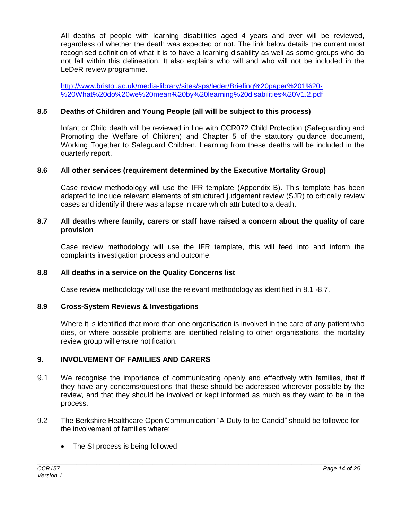All deaths of people with learning disabilities aged 4 years and over will be reviewed, regardless of whether the death was expected or not. The link below details the current most recognised definition of what it is to have a learning disability as well as some groups who do not fall within this delineation. It also explains who will and who will not be included in the LeDeR review programme.

[http://www.bristol.ac.uk/media-library/sites/sps/leder/Briefing%20paper%201%20-](http://www.bristol.ac.uk/media-library/sites/sps/leder/Briefing%20paper%201%20-%20What%20do%20we%20mean%20by%20learning%20disabilities%20V1.2.pdf) [%20What%20do%20we%20mean%20by%20learning%20disabilities%20V1.2.pdf](http://www.bristol.ac.uk/media-library/sites/sps/leder/Briefing%20paper%201%20-%20What%20do%20we%20mean%20by%20learning%20disabilities%20V1.2.pdf)

#### **8.5 Deaths of Children and Young People (all will be subject to this process)**

Infant or Child death will be reviewed in line with CCR072 Child Protection (Safeguarding and Promoting the Welfare of Children) and Chapter 5 of the statutory guidance document, Working Together to Safeguard Children. Learning from these deaths will be included in the quarterly report.

#### **8.6 All other services (requirement determined by the Executive Mortality Group)**

Case review methodology will use the IFR template (Appendix B). This template has been adapted to include relevant elements of structured judgement review (SJR) to critically review cases and identify if there was a lapse in care which attributed to a death.

#### **8.7 All deaths where family, carers or staff have raised a concern about the quality of care provision**

Case review methodology will use the IFR template, this will feed into and inform the complaints investigation process and outcome.

#### **8.8 All deaths in a service on the Quality Concerns list**

Case review methodology will use the relevant methodology as identified in 8.1 -8.7.

#### **8.9 Cross-System Reviews & Investigations**

Where it is identified that more than one organisation is involved in the care of any patient who dies, or where possible problems are identified relating to other organisations, the mortality review group will ensure notification.

#### **9. INVOLVEMENT OF FAMILIES AND CARERS**

- 9.1 We recognise the importance of communicating openly and effectively with families, that if they have any concerns/questions that these should be addressed wherever possible by the review, and that they should be involved or kept informed as much as they want to be in the process.
- 9.2 The Berkshire Healthcare Open Communication "A Duty to be Candid" should be followed for the involvement of families where:

*\_\_\_\_\_\_\_\_\_\_\_\_\_\_\_\_\_\_\_\_\_\_\_\_\_\_\_\_\_\_\_\_\_\_\_\_\_\_\_\_\_\_\_\_\_\_\_\_\_\_\_\_\_\_\_\_\_\_\_\_\_\_\_\_\_\_\_\_\_\_\_\_\_\_\_\_\_\_\_\_\_\_\_\_\_\_\_\_\_\_\_\_\_\_\_\_\_\_*

• The SI process is being followed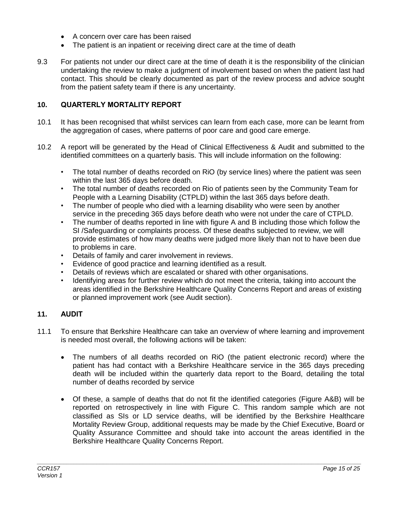- A concern over care has been raised
- The patient is an inpatient or receiving direct care at the time of death
- 9.3 For patients not under our direct care at the time of death it is the responsibility of the clinician undertaking the review to make a judgment of involvement based on when the patient last had contact. This should be clearly documented as part of the review process and advice sought from the patient safety team if there is any uncertainty.

#### **10. QUARTERLY MORTALITY REPORT**

- 10.1 It has been recognised that whilst services can learn from each case, more can be learnt from the aggregation of cases, where patterns of poor care and good care emerge.
- 10.2 A report will be generated by the Head of Clinical Effectiveness & Audit and submitted to the identified committees on a quarterly basis. This will include information on the following:
	- The total number of deaths recorded on RiO (by service lines) where the patient was seen within the last 365 days before death.
	- The total number of deaths recorded on Rio of patients seen by the Community Team for People with a Learning Disability (CTPLD) within the last 365 days before death.
	- The number of people who died with a learning disability who were seen by another service in the preceding 365 days before death who were not under the care of CTPLD.
	- The number of deaths reported in line with figure A and B including those which follow the SI /Safeguarding or complaints process. Of these deaths subjected to review, we will provide estimates of how many deaths were judged more likely than not to have been due to problems in care.
	- Details of family and carer involvement in reviews.
	- Evidence of good practice and learning identified as a result.
	- Details of reviews which are escalated or shared with other organisations.
	- Identifying areas for further review which do not meet the criteria, taking into account the areas identified in the Berkshire Healthcare Quality Concerns Report and areas of existing or planned improvement work (see Audit section).

#### **11. AUDIT**

- 11.1 To ensure that Berkshire Healthcare can take an overview of where learning and improvement is needed most overall, the following actions will be taken:
	- The numbers of all deaths recorded on RiO (the patient electronic record) where the patient has had contact with a Berkshire Healthcare service in the 365 days preceding death will be included within the quarterly data report to the Board, detailing the total number of deaths recorded by service
	- Of these, a sample of deaths that do not fit the identified categories (Figure A&B) will be reported on retrospectively in line with Figure C. This random sample which are not classified as SIs or LD service deaths, will be identified by the Berkshire Healthcare Mortality Review Group, additional requests may be made by the Chief Executive, Board or Quality Assurance Committee and should take into account the areas identified in the Berkshire Healthcare Quality Concerns Report.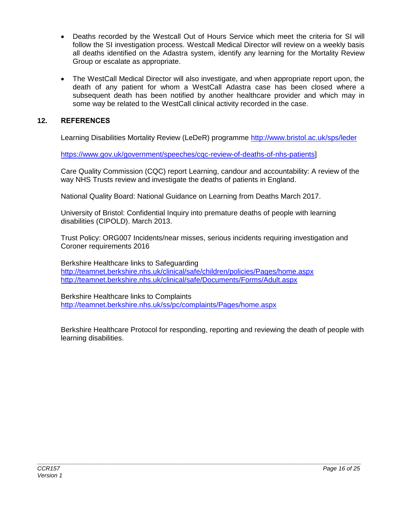- Deaths recorded by the Westcall Out of Hours Service which meet the criteria for SI will follow the SI investigation process. Westcall Medical Director will review on a weekly basis all deaths identified on the Adastra system, identify any learning for the Mortality Review Group or escalate as appropriate.
- The WestCall Medical Director will also investigate, and when appropriate report upon, the death of any patient for whom a WestCall Adastra case has been closed where a subsequent death has been notified by another healthcare provider and which may in some way be related to the WestCall clinical activity recorded in the case.

#### **12. REFERENCES**

Learning Disabilities Mortality Review (LeDeR) programme<http://www.bristol.ac.uk/sps/leder>

[https://www.gov.uk/government/speeches/cqc-review-of-deaths-of-nhs-patients\]](https://www.gov.uk/government/speeches/cqc-review-of-deaths-of-nhs-patients)

Care Quality Commission (CQC) report Learning, candour and accountability: A review of the way NHS Trusts review and investigate the deaths of patients in England.

National Quality Board: National Guidance on Learning from Deaths March 2017.

University of Bristol: Confidential Inquiry into premature deaths of people with learning disabilities (CIPOLD). March 2013.

Trust Policy: ORG007 Incidents/near misses, serious incidents requiring investigation and Coroner requirements 2016

Berkshire Healthcare links to Safeguarding <http://teamnet.berkshire.nhs.uk/clinical/safe/children/policies/Pages/home.aspx> <http://teamnet.berkshire.nhs.uk/clinical/safe/Documents/Forms/Adult.aspx>

Berkshire Healthcare links to Complaints <http://teamnet.berkshire.nhs.uk/ss/pc/complaints/Pages/home.aspx>

Berkshire Healthcare Protocol for responding, reporting and reviewing the death of people with learning disabilities.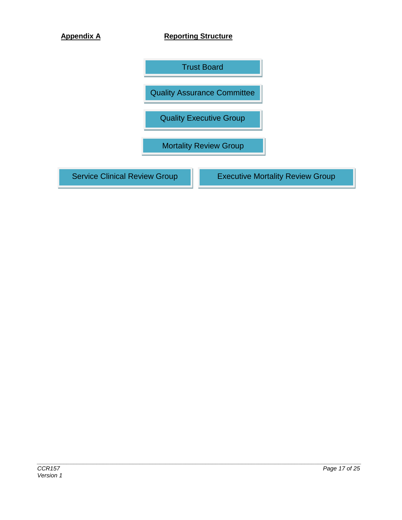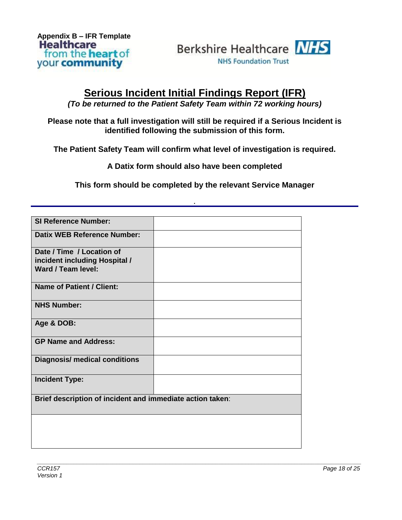**Appendix B – IFR Template** from the **heart** of your community



### **Serious Incident Initial Findings Report (IFR)**

*(To be returned to the Patient Safety Team within 72 working hours)*

**Please note that a full investigation will still be required if a Serious Incident is identified following the submission of this form.**

**The Patient Safety Team will confirm what level of investigation is required.**

**A Datix form should also have been completed**

**This form should be completed by the relevant Service Manager**

*.* 

| <b>SI Reference Number:</b>                                                      |  |  |
|----------------------------------------------------------------------------------|--|--|
| <b>Datix WEB Reference Number:</b>                                               |  |  |
| Date / Time / Location of<br>incident including Hospital /<br>Ward / Team level: |  |  |
| <b>Name of Patient / Client:</b>                                                 |  |  |
| <b>NHS Number:</b>                                                               |  |  |
| Age & DOB:                                                                       |  |  |
| <b>GP Name and Address:</b>                                                      |  |  |
| <b>Diagnosis/ medical conditions</b>                                             |  |  |
| <b>Incident Type:</b>                                                            |  |  |
| Brief description of incident and immediate action taken:                        |  |  |
|                                                                                  |  |  |
|                                                                                  |  |  |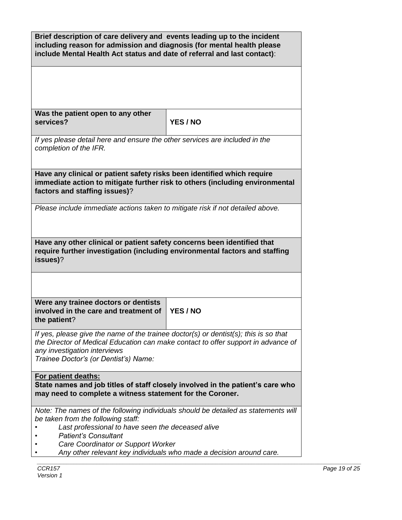| Brief description of care delivery and events leading up to the incident<br>including reason for admission and diagnosis (for mental health please<br>include Mental Health Act status and date of referral and last contact):                     |          |  |  |
|----------------------------------------------------------------------------------------------------------------------------------------------------------------------------------------------------------------------------------------------------|----------|--|--|
| Was the patient open to any other<br>services?                                                                                                                                                                                                     | YES / NO |  |  |
| If yes please detail here and ensure the other services are included in the<br>completion of the IFR.                                                                                                                                              |          |  |  |
| Have any clinical or patient safety risks been identified which require<br>immediate action to mitigate further risk to others (including environmental<br>factors and staffing issues)?                                                           |          |  |  |
| Please include immediate actions taken to mitigate risk if not detailed above.                                                                                                                                                                     |          |  |  |
| Have any other clinical or patient safety concerns been identified that<br>require further investigation (including environmental factors and staffing<br>issues)?                                                                                 |          |  |  |
|                                                                                                                                                                                                                                                    |          |  |  |
| Were any trainee doctors or dentists<br>involved in the care and treatment of<br>the patient?                                                                                                                                                      | YES / NO |  |  |
| If yes, please give the name of the trainee doctor(s) or dentist(s); this is so that<br>the Director of Medical Education can make contact to offer support in advance of<br>any investigation interviews<br>Trainee Doctor's (or Dentist's) Name: |          |  |  |
| For patient deaths:<br>State names and job titles of staff closely involved in the patient's care who<br>may need to complete a witness statement for the Coroner.                                                                                 |          |  |  |
| Note: The names of the following individuals should be detailed as statements will<br>be taken from the following staff:<br>Last professional to have seen the deceased alive<br><b>Patient's Consultant</b>                                       |          |  |  |
| Care Coordinator or Support Worker<br>Any other relevant key individuals who made a decision around care.                                                                                                                                          |          |  |  |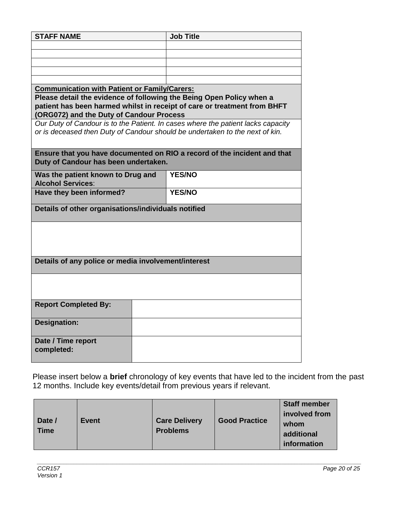| <b>STAFF NAME</b>                                                    | <b>Job Title</b>                                                                 |
|----------------------------------------------------------------------|----------------------------------------------------------------------------------|
|                                                                      |                                                                                  |
|                                                                      |                                                                                  |
|                                                                      |                                                                                  |
|                                                                      |                                                                                  |
| <b>Communication with Patient or Family/Carers:</b>                  |                                                                                  |
| Please detail the evidence of following the Being Open Policy when a |                                                                                  |
|                                                                      | patient has been harmed whilst in receipt of care or treatment from BHFT         |
| (ORG072) and the Duty of Candour Process                             |                                                                                  |
|                                                                      | Our Duty of Candour is to the Patient. In cases where the patient lacks capacity |
|                                                                      | or is deceased then Duty of Candour should be undertaken to the next of kin.     |
|                                                                      |                                                                                  |
|                                                                      | Ensure that you have documented on RIO a record of the incident and that         |
| Duty of Candour has been undertaken.                                 |                                                                                  |
| Was the patient known to Drug and                                    | <b>YES/NO</b>                                                                    |
| <b>Alcohol Services:</b>                                             |                                                                                  |
| Have they been informed?                                             | <b>YES/NO</b>                                                                    |
| Details of other organisations/individuals notified                  |                                                                                  |
|                                                                      |                                                                                  |
|                                                                      |                                                                                  |
|                                                                      |                                                                                  |
|                                                                      |                                                                                  |
|                                                                      |                                                                                  |
| Details of any police or media involvement/interest                  |                                                                                  |
|                                                                      |                                                                                  |
|                                                                      |                                                                                  |
|                                                                      |                                                                                  |
| <b>Report Completed By:</b>                                          |                                                                                  |
|                                                                      |                                                                                  |
| <b>Designation:</b>                                                  |                                                                                  |
|                                                                      |                                                                                  |
| Date / Time report                                                   |                                                                                  |
| completed:                                                           |                                                                                  |
|                                                                      |                                                                                  |

Please insert below a **brief** chronology of key events that have led to the incident from the past 12 months. Include key events/detail from previous years if relevant.

| Date /<br><b>Event</b><br><b>Care Delivery</b><br><b>Time</b><br><b>Problems</b> | <b>Good Practice</b> | <b>Staff member</b><br>involved from<br>whom<br>additional<br>information |
|----------------------------------------------------------------------------------|----------------------|---------------------------------------------------------------------------|
|----------------------------------------------------------------------------------|----------------------|---------------------------------------------------------------------------|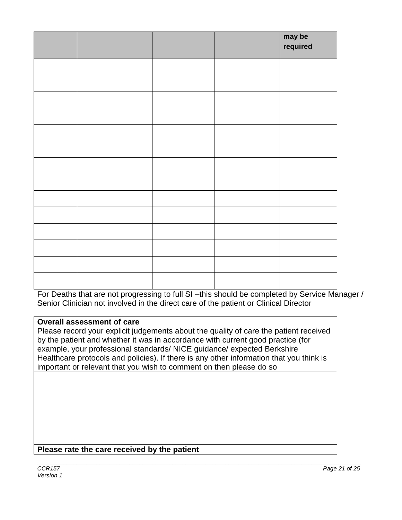|  |  | may be<br>required |
|--|--|--------------------|
|  |  |                    |
|  |  |                    |
|  |  |                    |
|  |  |                    |
|  |  |                    |
|  |  |                    |
|  |  |                    |
|  |  |                    |
|  |  |                    |
|  |  |                    |
|  |  |                    |
|  |  |                    |
|  |  |                    |
|  |  |                    |

For Deaths that are not progressing to full SI -this should be completed by Service Manager / Senior Clinician not involved in the direct care of the patient or Clinical Director

#### **Overall assessment of care**

Please record your explicit judgements about the quality of care the patient received by the patient and whether it was in accordance with current good practice (for example, your professional standards/ NICE guidance/ expected Berkshire Healthcare protocols and policies). If there is any other information that you think is important or relevant that you wish to comment on then please do so

#### **Please rate the care received by the patient**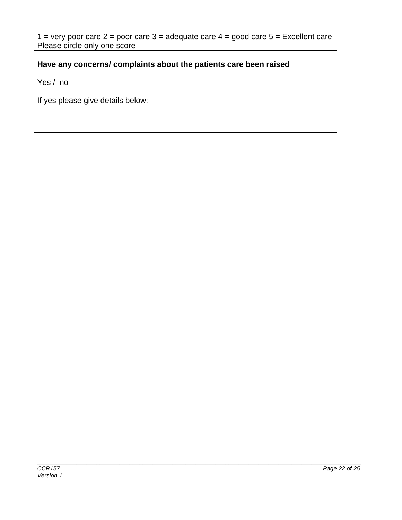$1 =$  very poor care  $2 =$  poor care  $3 =$  adequate care  $4 =$  good care  $5 =$  Excellent care Please circle only one score

**Have any concerns/ complaints about the patients care been raised** 

Yes / no

If yes please give details below: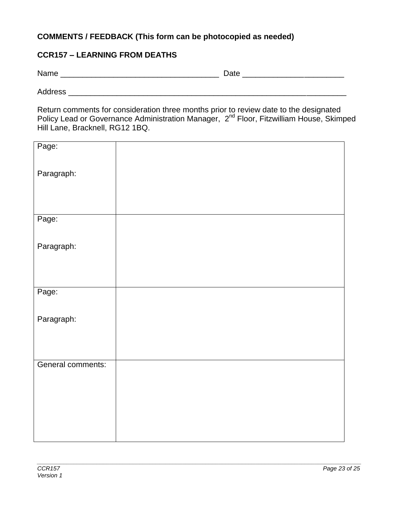#### **COMMENTS / FEEDBACK (This form can be photocopied as needed)**

#### **CCR157 – LEARNING FROM DEATHS**

Name \_\_\_\_\_\_\_\_\_\_\_\_\_\_\_\_\_\_\_\_\_\_\_\_\_\_\_\_\_\_\_\_\_\_\_\_ Date \_\_\_\_\_\_\_\_\_\_\_\_\_\_\_\_\_\_\_\_\_\_\_

Address \_\_\_\_\_\_\_\_\_\_\_\_\_\_\_\_\_\_\_\_\_\_\_\_\_\_\_\_\_\_\_\_\_\_\_\_\_\_\_\_\_\_\_\_\_\_\_\_\_\_\_\_\_\_\_\_\_\_\_\_\_\_\_

Return comments for consideration three months prior to review date to the designated Policy Lead or Governance Administration Manager, 2<sup>nd</sup> Floor, Fitzwilliam House, Skimped Hill Lane, Bracknell, RG12 1BQ.

| Page:             |  |
|-------------------|--|
|                   |  |
| Paragraph:        |  |
|                   |  |
| Page:             |  |
|                   |  |
| Paragraph:        |  |
|                   |  |
|                   |  |
| Page:             |  |
|                   |  |
| Paragraph:        |  |
|                   |  |
|                   |  |
| General comments: |  |
|                   |  |
|                   |  |
|                   |  |
|                   |  |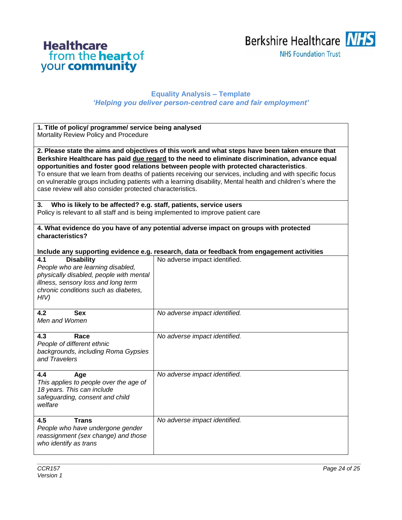# **Healthcare**<br>from the **heart** of<br>your **community**



#### **Equality Analysis – Template** *'Helping you deliver person-centred care and fair employment'*

| 1. Title of policy/ programme/ service being analysed<br>Mortality Review Policy and Procedure                                                                                                                                                                                                                                                                                                                                                                                                                                                                                       |                                                                                                                                                       |  |  |
|--------------------------------------------------------------------------------------------------------------------------------------------------------------------------------------------------------------------------------------------------------------------------------------------------------------------------------------------------------------------------------------------------------------------------------------------------------------------------------------------------------------------------------------------------------------------------------------|-------------------------------------------------------------------------------------------------------------------------------------------------------|--|--|
| 2. Please state the aims and objectives of this work and what steps have been taken ensure that<br>Berkshire Healthcare has paid due regard to the need to eliminate discrimination, advance equal<br>opportunities and foster good relations between people with protected characteristics.<br>To ensure that we learn from deaths of patients receiving our services, including and with specific focus<br>on vulnerable groups including patients with a learning disability, Mental health and children's where the<br>case review will also consider protected characteristics. |                                                                                                                                                       |  |  |
| 3.                                                                                                                                                                                                                                                                                                                                                                                                                                                                                                                                                                                   | Who is likely to be affected? e.g. staff, patients, service users<br>Policy is relevant to all staff and is being implemented to improve patient care |  |  |
| 4. What evidence do you have of any potential adverse impact on groups with protected<br>characteristics?                                                                                                                                                                                                                                                                                                                                                                                                                                                                            |                                                                                                                                                       |  |  |
|                                                                                                                                                                                                                                                                                                                                                                                                                                                                                                                                                                                      | Include any supporting evidence e.g. research, data or feedback from engagement activities                                                            |  |  |
| <b>Disability</b><br>4.1<br>People who are learning disabled,<br>physically disabled, people with mental<br>illness, sensory loss and long term<br>chronic conditions such as diabetes,<br>HIV)                                                                                                                                                                                                                                                                                                                                                                                      | No adverse impact identified.                                                                                                                         |  |  |
| <b>Sex</b><br>4.2<br>Men and Women                                                                                                                                                                                                                                                                                                                                                                                                                                                                                                                                                   | No adverse impact identified.                                                                                                                         |  |  |
| 4.3<br>Race<br>People of different ethnic<br>backgrounds, including Roma Gypsies<br>and Travelers                                                                                                                                                                                                                                                                                                                                                                                                                                                                                    | No adverse impact identified.                                                                                                                         |  |  |
| 4.4<br>Age<br>This applies to people over the age of<br>18 years. This can include<br>safeguarding, consent and child<br>welfare                                                                                                                                                                                                                                                                                                                                                                                                                                                     | No adverse impact identified.                                                                                                                         |  |  |
| <b>Trans</b><br>4.5<br>People who have undergone gender<br>reassignment (sex change) and those<br>who identify as trans                                                                                                                                                                                                                                                                                                                                                                                                                                                              | No adverse impact identified.                                                                                                                         |  |  |